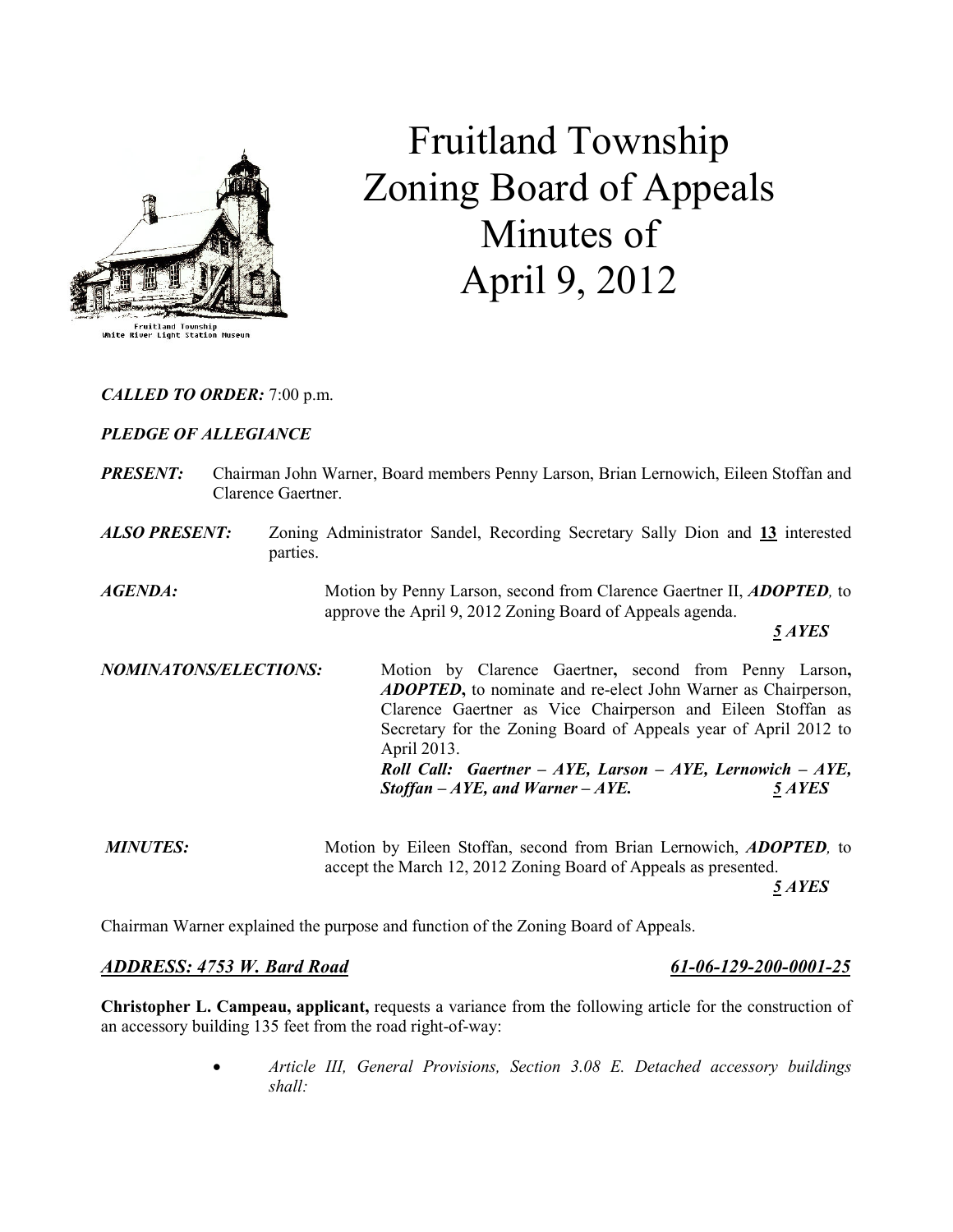

# Fruitland Township Zoning Board of Appeals Minutes of April 9, 2012

CALLED TO ORDER: 7:00 p.m.

### PLEDGE OF ALLEGIANCE

| <b>PRESENT:</b> | Chairman John Warner, Board members Penny Larson, Brian Lernowich, Eileen Stoffan and |
|-----------------|---------------------------------------------------------------------------------------|
|                 | Clarence Gaertner.                                                                    |
|                 |                                                                                       |

ALSO PRESENT: Zoning Administrator Sandel, Recording Secretary Sally Dion and 13 interested parties.

AGENDA: Motion by Penny Larson, second from Clarence Gaertner II, ADOPTED, to approve the April 9, 2012 Zoning Board of Appeals agenda.

5 AYES

NOMINATONS/ELECTIONS: Motion by Clarence Gaertner, second from Penny Larson, **ADOPTED**, to nominate and re-elect John Warner as Chairperson, Clarence Gaertner as Vice Chairperson and Eileen Stoffan as Secretary for the Zoning Board of Appeals year of April 2012 to April 2013. Roll Call: Gaertner -  $AYE$ , Larson -  $AYE$ , Lernowich -  $AYE$ ,  $Stoffan - AYE$ , and Warner –  $AYE$ . 5 AYES

MINUTES: Motion by Eileen Stoffan, second from Brian Lernowich, ADOPTED, to accept the March 12, 2012 Zoning Board of Appeals as presented. 5 AYES

Chairman Warner explained the purpose and function of the Zoning Board of Appeals.

#### ADDRESS: 4753 W. Bard Road 61-06-129-200-0001-25

Christopher L. Campeau, applicant, requests a variance from the following article for the construction of an accessory building 135 feet from the road right-of-way:

> • Article III, General Provisions, Section 3.08 E. Detached accessory buildings shall: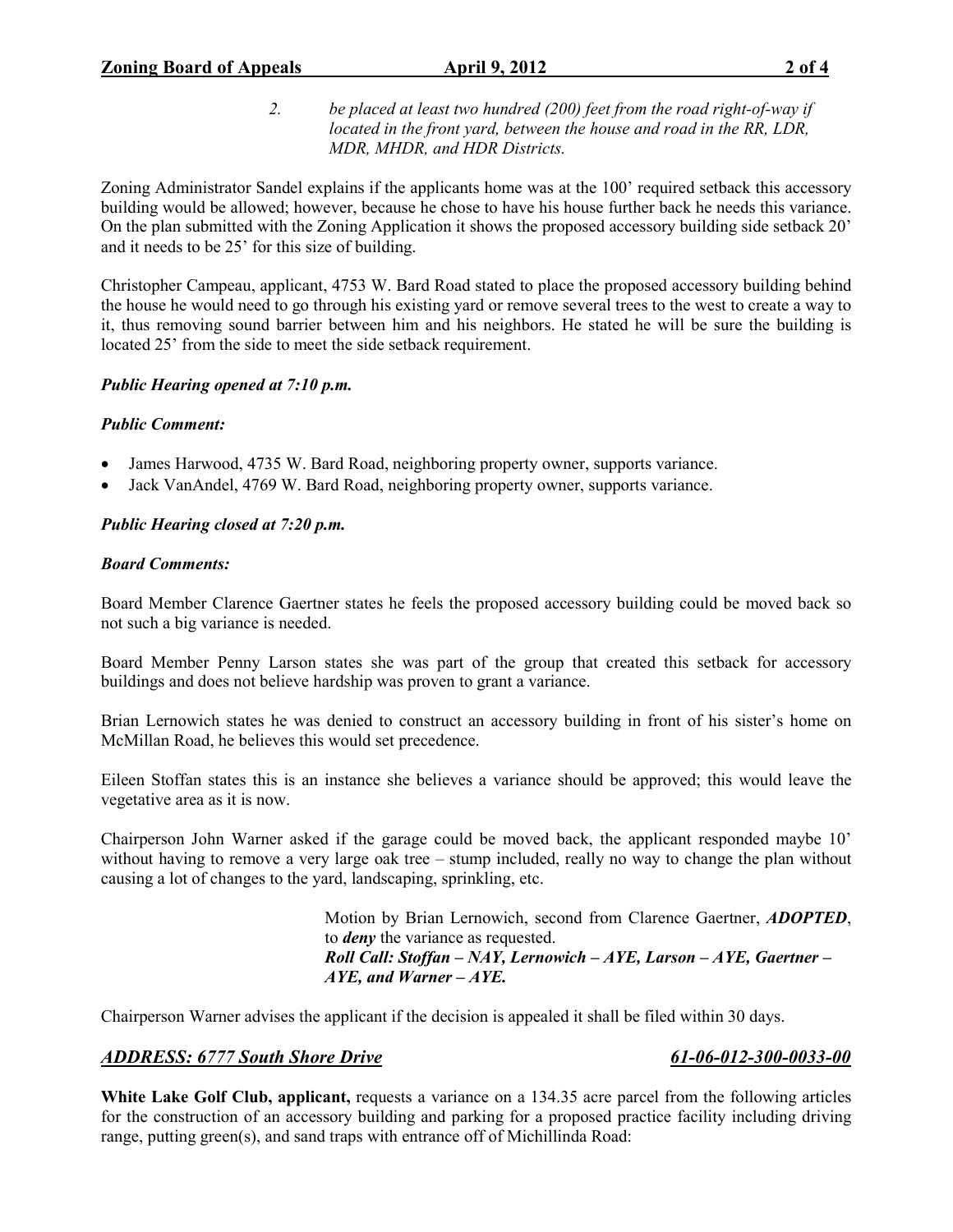2. be placed at least two hundred (200) feet from the road right-of-way if located in the front yard, between the house and road in the RR, LDR, MDR, MHDR, and HDR Districts.

Zoning Administrator Sandel explains if the applicants home was at the 100' required setback this accessory building would be allowed; however, because he chose to have his house further back he needs this variance. On the plan submitted with the Zoning Application it shows the proposed accessory building side setback 20' and it needs to be 25' for this size of building.

Christopher Campeau, applicant, 4753 W. Bard Road stated to place the proposed accessory building behind the house he would need to go through his existing yard or remove several trees to the west to create a way to it, thus removing sound barrier between him and his neighbors. He stated he will be sure the building is located 25' from the side to meet the side setback requirement.

# Public Hearing opened at 7:10 p.m.

# Public Comment:

- James Harwood, 4735 W. Bard Road, neighboring property owner, supports variance.
- Jack VanAndel, 4769 W. Bard Road, neighboring property owner, supports variance.

# Public Hearing closed at 7:20 p.m.

### Board Comments:

Board Member Clarence Gaertner states he feels the proposed accessory building could be moved back so not such a big variance is needed.

Board Member Penny Larson states she was part of the group that created this setback for accessory buildings and does not believe hardship was proven to grant a variance.

Brian Lernowich states he was denied to construct an accessory building in front of his sister's home on McMillan Road, he believes this would set precedence.

Eileen Stoffan states this is an instance she believes a variance should be approved; this would leave the vegetative area as it is now.

Chairperson John Warner asked if the garage could be moved back, the applicant responded maybe 10' without having to remove a very large oak tree – stump included, really no way to change the plan without causing a lot of changes to the yard, landscaping, sprinkling, etc.

> Motion by Brian Lernowich, second from Clarence Gaertner, ADOPTED, to deny the variance as requested. Roll Call: Stoffan – NAY, Lernowich – AYE, Larson – AYE, Gaertner –  $AYE$ , and Warner –  $AYE$ .

Chairperson Warner advises the applicant if the decision is appealed it shall be filed within 30 days.

# ADDRESS: 6777 South Shore Drive 61-06-012-300-0033-00

White Lake Golf Club, applicant, requests a variance on a 134.35 acre parcel from the following articles for the construction of an accessory building and parking for a proposed practice facility including driving range, putting green(s), and sand traps with entrance off of Michillinda Road: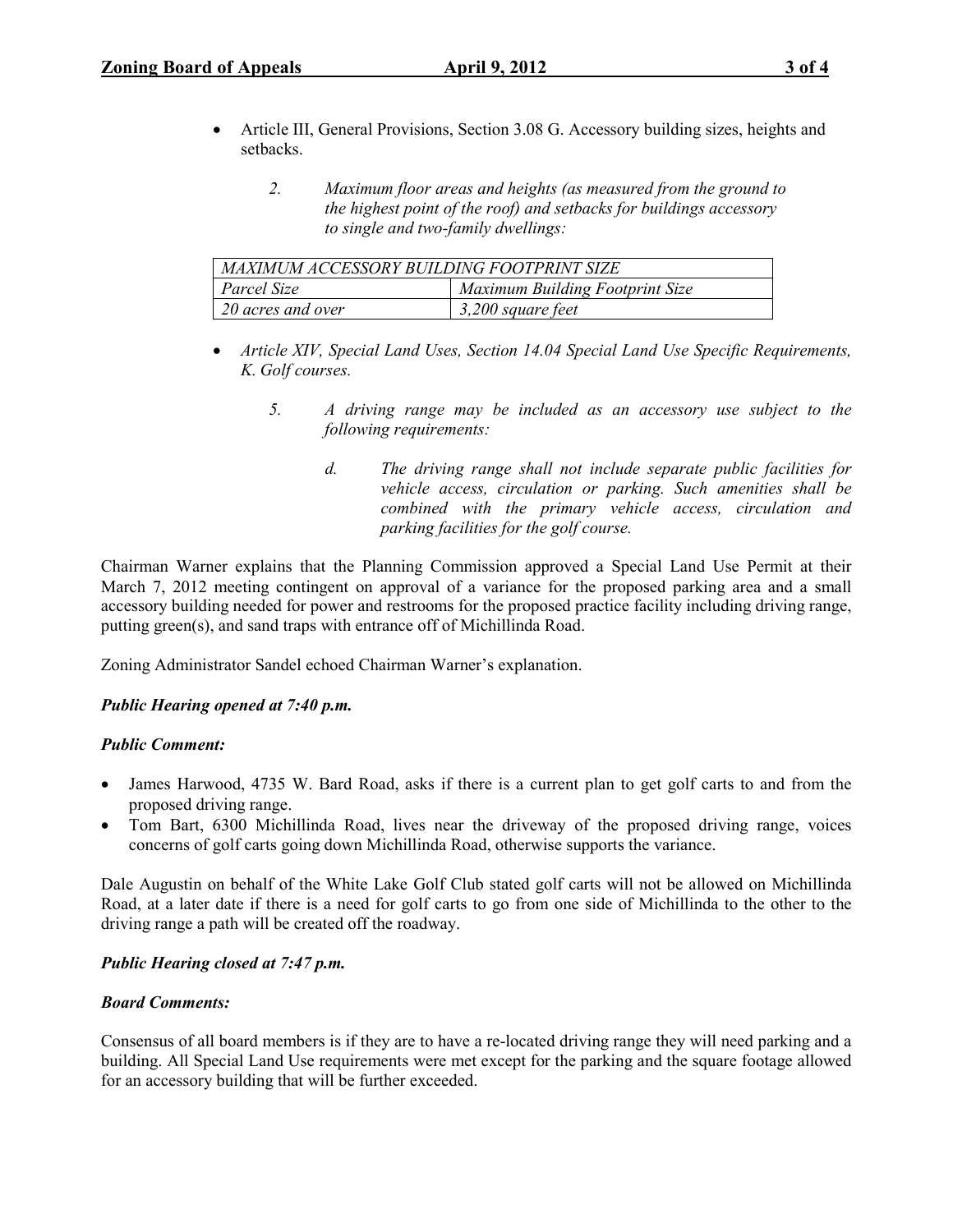- Article III, General Provisions, Section 3.08 G. Accessory building sizes, heights and setbacks.
	- 2. Maximum floor areas and heights (as measured from the ground to the highest point of the roof) and setbacks for buildings accessory to single and two-family dwellings:

| MAXIMUM ACCESSORY BUILDING FOOTPRINT SIZE |                                        |  |  |
|-------------------------------------------|----------------------------------------|--|--|
| Parcel Size                               | <b>Maximum Building Footprint Size</b> |  |  |
| $\frac{1}{20}$ acres and over             | 3,200 square feet                      |  |  |

- Article XIV, Special Land Uses, Section 14.04 Special Land Use Specific Requirements, K. Golf courses.
	- 5. A driving range may be included as an accessory use subject to the following requirements:
		- d. The driving range shall not include separate public facilities for vehicle access, circulation or parking. Such amenities shall be combined with the primary vehicle access, circulation and parking facilities for the golf course.

Chairman Warner explains that the Planning Commission approved a Special Land Use Permit at their March 7, 2012 meeting contingent on approval of a variance for the proposed parking area and a small accessory building needed for power and restrooms for the proposed practice facility including driving range, putting green(s), and sand traps with entrance off of Michillinda Road.

Zoning Administrator Sandel echoed Chairman Warner's explanation.

# Public Hearing opened at 7:40 p.m.

#### Public Comment:

- James Harwood, 4735 W. Bard Road, asks if there is a current plan to get golf carts to and from the proposed driving range.
- Tom Bart, 6300 Michillinda Road, lives near the driveway of the proposed driving range, voices concerns of golf carts going down Michillinda Road, otherwise supports the variance.

Dale Augustin on behalf of the White Lake Golf Club stated golf carts will not be allowed on Michillinda Road, at a later date if there is a need for golf carts to go from one side of Michillinda to the other to the driving range a path will be created off the roadway.

# Public Hearing closed at 7:47 p.m.

# Board Comments:

Consensus of all board members is if they are to have a re-located driving range they will need parking and a building. All Special Land Use requirements were met except for the parking and the square footage allowed for an accessory building that will be further exceeded.